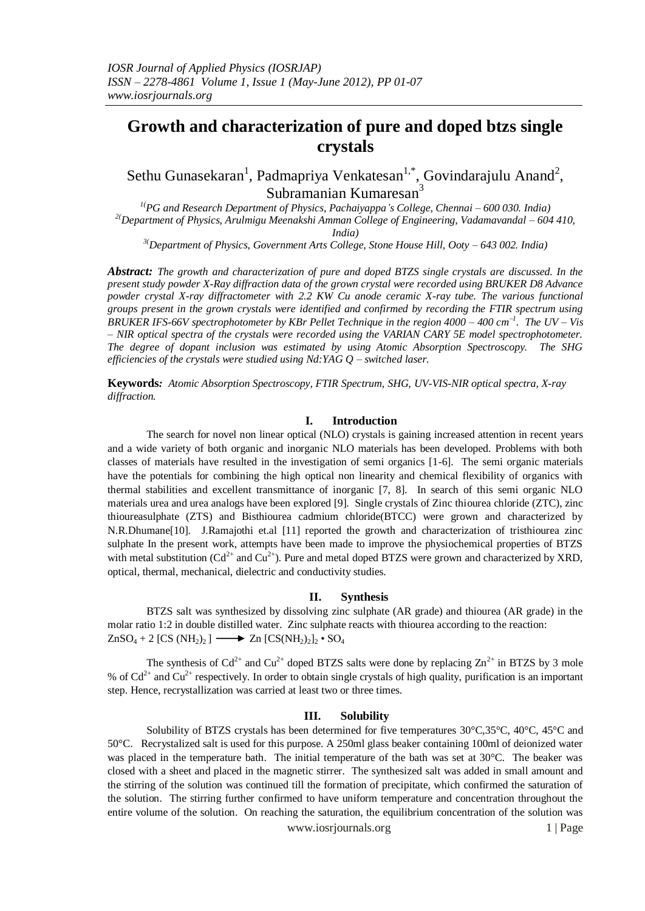# **Growth and characterization of pure and doped btzs single crystals**

Sethu Gunasekaran<sup>1</sup>, Padmapriya Venkatesan<sup>1,\*</sup>, Govindarajulu Anand<sup>2</sup>, Subramanian Kumaresan<sup>3</sup>

*1(PG and Research Department of Physics, Pachaiyappa's College, Chennai – 600 030. India) 2(Department of Physics, Arulmigu Meenakshi Amman College of Engineering, Vadamavandal – 604 410, India)*

*3(Department of Physics, Government Arts College, Stone House Hill, Ooty – 643 002. India)*

*Abstract: The growth and characterization of pure and doped BTZS single crystals are discussed. In the present study powder X-Ray diffraction data of the grown crystal were recorded using BRUKER D8 Advance powder crystal X-ray diffractometer with 2.2 KW Cu anode ceramic X-ray tube. The various functional groups present in the grown crystals were identified and confirmed by recording the FTIR spectrum using BRUKER IFS-66V spectrophotometer by KBr Pellet Technique in the region 4000 – 400 cm<sup>1</sup> . The UV – Vis – NIR optical spectra of the crystals were recorded using the VARIAN CARY 5E model spectrophotometer. The degree of dopant inclusion was estimated by using Atomic Absorption Spectroscopy. The SHG efficiencies of the crystals were studied using Nd:YAG Q – switched laser.*

**Keywords***: Atomic Absorption Spectroscopy, FTIR Spectrum, SHG, UV-VIS-NIR optical spectra, X-ray diffraction.*

#### **I. Introduction**

The search for novel non linear optical (NLO) crystals is gaining increased attention in recent years and a wide variety of both organic and inorganic NLO materials has been developed. Problems with both classes of materials have resulted in the investigation of semi organics [1-6]. The semi organic materials have the potentials for combining the high optical non linearity and chemical flexibility of organics with thermal stabilities and excellent transmittance of inorganic [7, 8]. In search of this semi organic NLO materials urea and urea analogs have been explored [9]. Single crystals of Zinc thiourea chloride (ZTC), zinc thioureasulphate (ZTS) and Bisthiourea cadmium chloride(BTCC) were grown and characterized by N.R.Dhumane[10]. J.Ramajothi et.al [11] reported the growth and characterization of tristhiourea zinc sulphate In the present work, attempts have been made to improve the physiochemical properties of BTZS with metal substitution  $(Cd^{2+}$  and  $Cu^{2+}$ ). Pure and metal doped BTZS were grown and characterized by XRD, optical, thermal, mechanical, dielectric and conductivity studies.

### **II. Synthesis**

BTZS salt was synthesized by dissolving zinc sulphate (AR grade) and thiourea (AR grade) in the molar ratio 1:2 in double distilled water. Zinc sulphate reacts with thiourea according to the reaction:  $ZnSO_4 + 2$  [CS (NH<sub>2</sub>)<sub>2</sub>]  $\longrightarrow Zn$  [CS(NH<sub>2</sub>)<sub>2</sub>]<sub>2</sub>  $\cdot$  SO<sub>4</sub>

The synthesis of  $Cd^{2+}$  and  $Cu^{2+}$  doped BTZS salts were done by replacing  $Zn^{2+}$  in BTZS by 3 mole % of  $Cd^{2+}$  and  $Cu^{2+}$  respectively. In order to obtain single crystals of high quality, purification is an important step. Hence, recrystallization was carried at least two or three times.

#### **III. Solubility**

Solubility of BTZS crystals has been determined for five temperatures 30°C,35°C, 40°C, 45°C and 50°C. Recrystalized salt is used for this purpose. A 250ml glass beaker containing 100ml of deionized water was placed in the temperature bath. The initial temperature of the bath was set at 30°C. The beaker was closed with a sheet and placed in the magnetic stirrer. The synthesized salt was added in small amount and the stirring of the solution was continued till the formation of precipitate, which confirmed the saturation of the solution. The stirring further confirmed to have uniform temperature and concentration throughout the entire volume of the solution. On reaching the saturation, the equilibrium concentration of the solution was

www.iosrjournals.org 1 | Page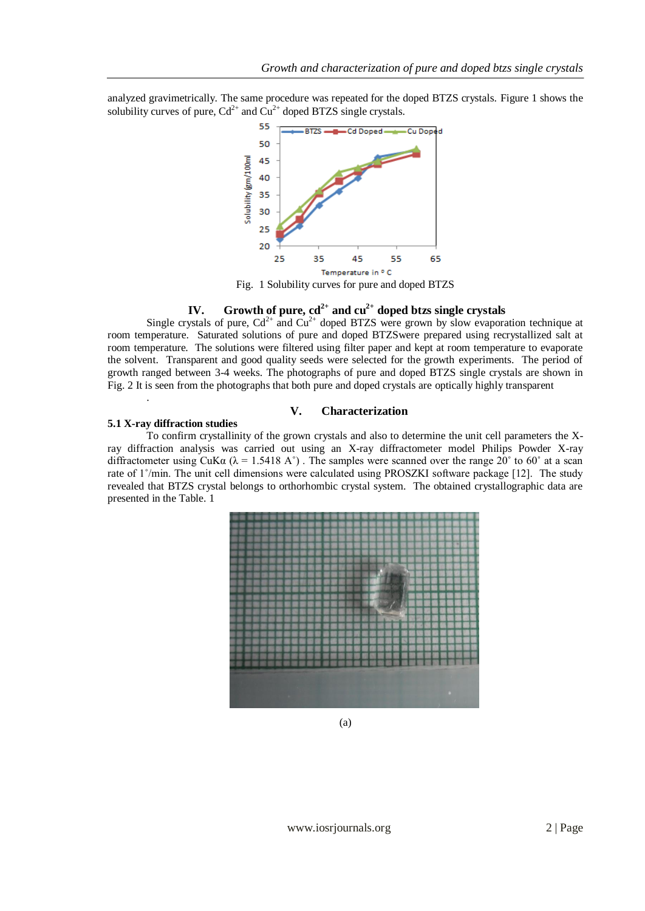analyzed gravimetrically. The same procedure was repeated for the doped BTZS crystals. Figure 1 shows the solubility curves of pure,  $Cd^{2+}$  and  $Cu^{2+}$  doped BTZS single crystals.



Fig. 1 Solubility curves for pure and doped BTZS

# **IV. Growth of pure, cd2+ and cu2+ doped btzs single crystals**

Single crystals of pure,  $Cd^{2+}$  and  $Cu^{2+}$  doped BTZS were grown by slow evaporation technique at room temperature. Saturated solutions of pure and doped BTZSwere prepared using recrystallized salt at room temperature. The solutions were filtered using filter paper and kept at room temperature to evaporate the solvent. Transparent and good quality seeds were selected for the growth experiments. The period of growth ranged between 3-4 weeks. The photographs of pure and doped BTZS single crystals are shown in Fig. 2 It is seen from the photographs that both pure and doped crystals are optically highly transparent

# **V. Characterization**

# **5.1 X-ray diffraction studies**

.

To confirm crystallinity of the grown crystals and also to determine the unit cell parameters the Xray diffraction analysis was carried out using an X-ray diffractometer model Philips Powder X-ray diffractometer using CuKa ( $\lambda = 1.5418$  A°). The samples were scanned over the range 20° to 60° at a scan rate of 1˚/min. The unit cell dimensions were calculated using PROSZKI software package [12]. The study revealed that BTZS crystal belongs to orthorhombic crystal system. The obtained crystallographic data are presented in the Table. 1



(a)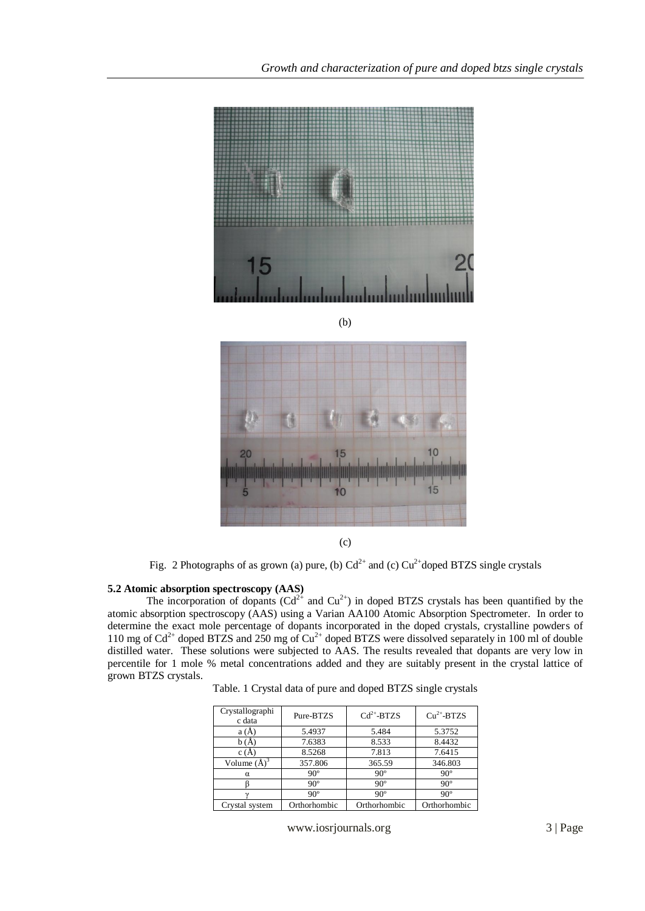

(c)

Fig. 2 Photographs of as grown (a) pure, (b)  $Cd^{2+}$  and (c)  $Cu^{2+}$ doped BTZS single crystals

# **5.2 Atomic absorption spectroscopy (AAS)**

The incorporation of dopants  $(Cd^{2+}$  and  $Cu^{2+}$ ) in doped BTZS crystals has been quantified by the atomic absorption spectroscopy (AAS) using a Varian AA100 Atomic Absorption Spectrometer. In order to determine the exact mole percentage of dopants incorporated in the doped crystals, crystalline powders of 110 mg of  $Cd^{2+}$  doped BTZS and 250 mg of  $Cu^{2+}$  doped BTZS were dissolved separately in 100 ml of double distilled water. These solutions were subjected to AAS. The results revealed that dopants are very low in percentile for 1 mole % metal concentrations added and they are suitably present in the crystal lattice of grown BTZS crystals.

Table. 1 Crystal data of pure and doped BTZS single crystals

| Crystallographi<br>c data | Pure-BTZS    | $Cd2+-BTZS$  | $Cu2+$ -BTZS |
|---------------------------|--------------|--------------|--------------|
| a(A)                      | 5.4937       | 5.484        | 5.3752       |
| b(A)                      | 7.6383       | 8.533        | 8.4432       |
| c(A)                      | 8.5268       | 7.813        | 7.6415       |
| Volume $(A)^3$            | 357.806      | 365.59       | 346.803      |
| $\alpha$                  | $90^\circ$   | $90^\circ$   | $90^\circ$   |
|                           | $90^\circ$   | $90^\circ$   | $90^\circ$   |
|                           | $90^\circ$   | $90^\circ$   | $90^\circ$   |
| Crystal system            | Orthorhombic | Orthorhombic | Orthorhombic |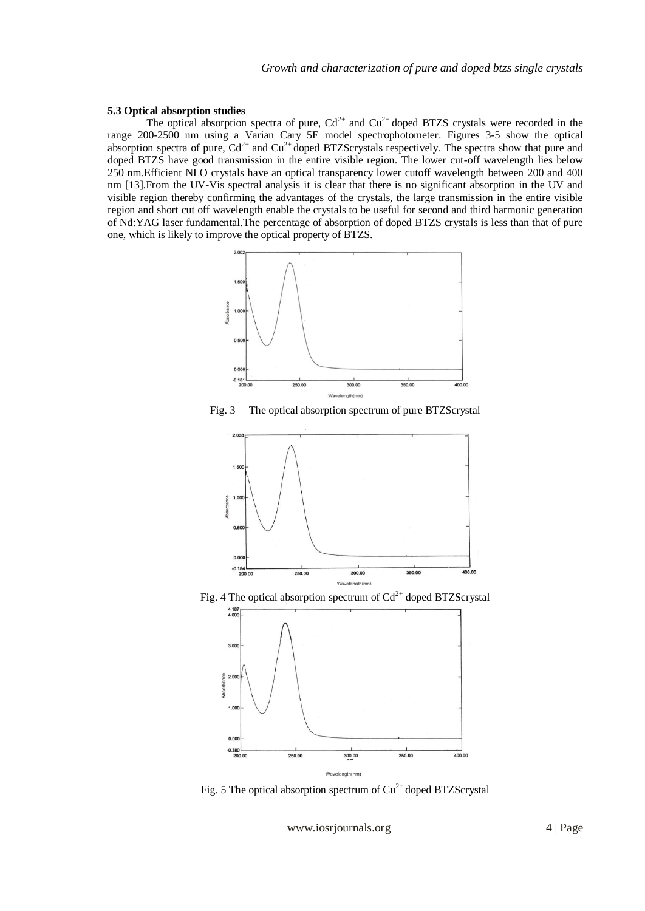#### **5.3 Optical absorption studies**

The optical absorption spectra of pure,  $Cd^{2+}$  and  $Cu^{2+}$  doped BTZS crystals were recorded in the range 200-2500 nm using a Varian Cary 5E model spectrophotometer. Figures 3-5 show the optical absorption spectra of pure,  $Cd^{2+}$  and  $Cu^{2+}$  doped BTZScrystals respectively. The spectra show that pure and doped BTZS have good transmission in the entire visible region. The lower cut-off wavelength lies below 250 nm.Efficient NLO crystals have an optical transparency lower cutoff wavelength between 200 and 400 nm [13].From the UV-Vis spectral analysis it is clear that there is no significant absorption in the UV and visible region thereby confirming the advantages of the crystals, the large transmission in the entire visible region and short cut off wavelength enable the crystals to be useful for second and third harmonic generation of Nd:YAG laser fundamental.The percentage of absorption of doped BTZS crystals is less than that of pure one, which is likely to improve the optical property of BTZS.



Fig. 3 The optical absorption spectrum of pure BTZScrystal



Fig. 4 The optical absorption spectrum of  $Cd^{2+}$  doped BTZScrystal



Fig. 5 The optical absorption spectrum of  $Cu^{2+}$  doped BTZScrystal

www.iosrjournals.org 4 | Page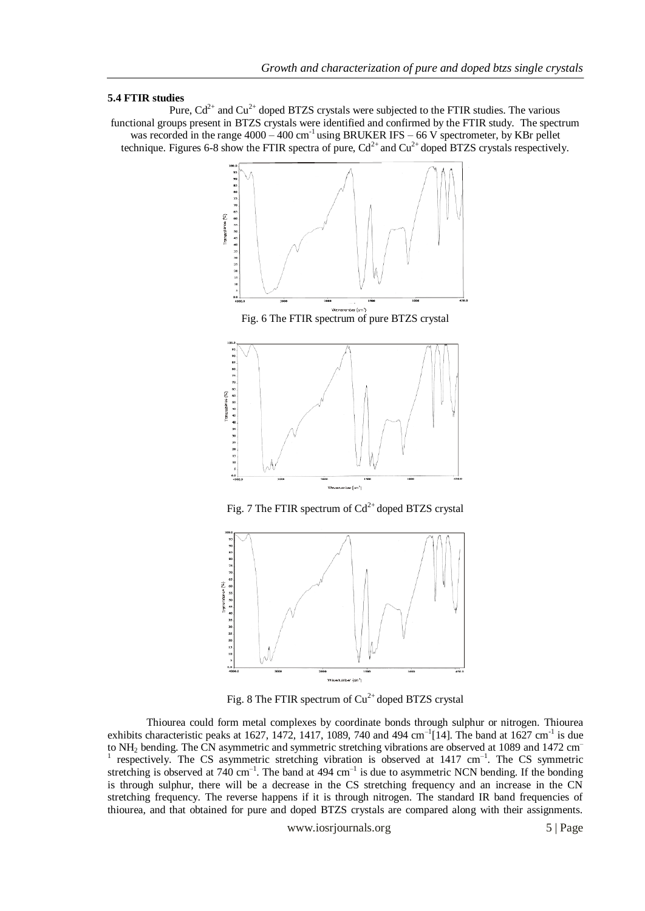#### **5.4 FTIR studies**

Pure,  $Cd^{2+}$  and  $Cu^{2+}$  doped BTZS crystals were subjected to the FTIR studies. The various functional groups present in BTZS crystals were identified and confirmed by the FTIR study. The spectrum was recorded in the range  $4000 - 400$  cm<sup>-1</sup> using BRUKER IFS – 66 V spectrometer, by KBr pellet technique. Figures 6-8 show the FTIR spectra of pure,  $Cd^{2+}$  and  $Cu^{2+}$  doped BTZS crystals respectively.





Fig. 8 The FTIR spectrum of  $Cu^{2+}$  doped BTZS crystal

Thiourea could form metal complexes by coordinate bonds through sulphur or nitrogen. Thiourea exhibits characteristic peaks at 1627, 1472, 1417, 1089, 740 and 494 cm<sup>-1</sup>[14]. The band at 1627 cm<sup>-1</sup> is due to NH<sup>2</sup> bending. The CN asymmetric and symmetric stretching vibrations are observed at 1089 and 1472 cm– <sup>1</sup> respectively. The CS asymmetric stretching vibration is observed at 1417 cm<sup>-1</sup>. The CS symmetric stretching is observed at 740 cm<sup>-1</sup>. The band at 494 cm<sup>-1</sup> is due to asymmetric NCN bending. If the bonding is through sulphur, there will be a decrease in the CS stretching frequency and an increase in the CN stretching frequency. The reverse happens if it is through nitrogen. The standard IR band frequencies of thiourea, and that obtained for pure and doped BTZS crystals are compared along with their assignments.

www.iosrjournals.org 5 | Page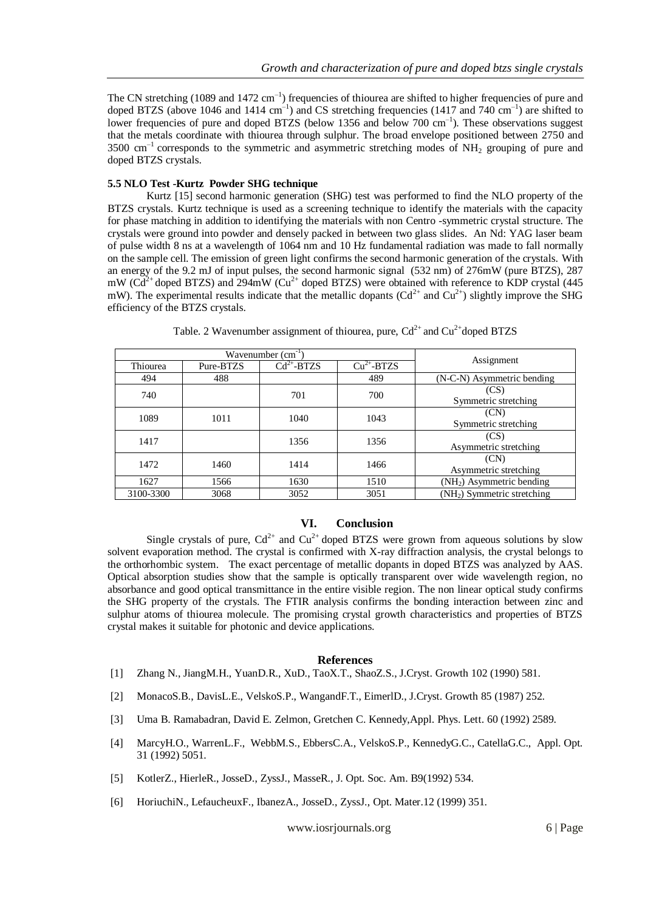The CN stretching (1089 and 1472 cm<sup>-1</sup>) frequencies of thiourea are shifted to higher frequencies of pure and doped BTZS (above 1046 and 1414 cm<sup>-1</sup>) and CS stretching frequencies (1417 and 740 cm<sup>-1</sup>) are shifted to lower frequencies of pure and doped BTZS (below 1356 and below 700 cm<sup>-1</sup>). These observations suggest that the metals coordinate with thiourea through sulphur. The broad envelope positioned between 2750 and  $3500 \text{ cm}^{-1}$  corresponds to the symmetric and asymmetric stretching modes of NH<sub>2</sub> grouping of pure and doped BTZS crystals.

# **5.5 NLO Test -Kurtz Powder SHG technique**

Kurtz [15] second harmonic generation (SHG) test was performed to find the NLO property of the BTZS crystals. Kurtz technique is used as a screening technique to identify the materials with the capacity for phase matching in addition to identifying the materials with non Centro -symmetric crystal structure. The crystals were ground into powder and densely packed in between two glass slides. An Nd: YAG laser beam of pulse width 8 ns at a wavelength of 1064 nm and 10 Hz fundamental radiation was made to fall normally on the sample cell. The emission of green light confirms the second harmonic generation of the crystals. With an energy of the 9.2 mJ of input pulses, the second harmonic signal (532 nm) of 276mW (pure BTZS), 287 mW ( $Cd^{2+}$  doped BTZS) and 294mW ( $Cu^{2+}$  doped BTZS) were obtained with reference to KDP crystal (445) mW). The experimental results indicate that the metallic dopants  $(Cd^{2+}$  and  $Cu^{2+})$  slightly improve the SHG efficiency of the BTZS crystals.

| Wavenumber $(cm-1)$ |           |               |             |                                         |  |
|---------------------|-----------|---------------|-------------|-----------------------------------------|--|
| Thiourea            | Pure-BTZS | $Cd2+ - BTZS$ | $Cu2+-BTZS$ | Assignment                              |  |
| 494                 | 488       |               | 489         | (N-C-N) Asymmetric bending              |  |
| 740                 |           | 701           | 700         | (CS)<br>Symmetric stretching            |  |
| 1089                | 1011      | 1040          | 1043        | (CN)<br>Symmetric stretching            |  |
| 1417                |           | 1356          | 1356        | (CS)<br>Asymmetric stretching           |  |
| 1472                | 1460      | 1414          | 1466        | (CN)<br>Asymmetric stretching           |  |
| 1627                | 1566      | 1630          | 1510        | $(NH2)$ Asymmetric bending              |  |
| 3100-3300           | 3068      | 3052          | 3051        | (NH <sub>2</sub> ) Symmetric stretching |  |

Table. 2 Wavenumber assignment of thiourea, pure,  $Cd^{2+}$  and  $Cu^{2+}$ doped BTZS

#### **VI. Conclusion**

Single crystals of pure,  $Cd^{2+}$  and  $Cu^{2+}$  doped BTZS were grown from aqueous solutions by slow solvent evaporation method. The crystal is confirmed with X-ray diffraction analysis, the crystal belongs to the orthorhombic system. The exact percentage of metallic dopants in doped BTZS was analyzed by AAS. Optical absorption studies show that the sample is optically transparent over wide wavelength region, no absorbance and good optical transmittance in the entire visible region. The non linear optical study confirms the SHG property of the crystals. The FTIR analysis confirms the bonding interaction between zinc and sulphur atoms of thiourea molecule. The promising crystal growth characteristics and properties of BTZS crystal makes it suitable for photonic and device applications.

#### **References**

- [1] Zhang N., JiangM.H., YuanD.R., XuD., TaoX.T., ShaoZ.S., J.Cryst. Growth 102 (1990) 581.
- [2] MonacoS.B., DavisL.E., VelskoS.P., WangandF.T., EimerlD., J.Cryst. Growth 85 (1987) 252.
- [3] Uma B. Ramabadran, David E. Zelmon, Gretchen C. Kennedy,Appl. Phys. Lett. 60 (1992) 2589.
- [4] MarcyH.O., WarrenL.F., WebbM.S., EbbersC.A., VelskoS.P., KennedyG.C., CatellaG.C., Appl. Opt. 31 (1992) 5051.
- [5] KotlerZ., HierleR., JosseD., ZyssJ., MasseR., J. Opt. Soc. Am. B9(1992) 534.
- [6] HoriuchiN., LefaucheuxF., IbanezA., JosseD., ZyssJ., Opt. Mater.12 (1999) 351.